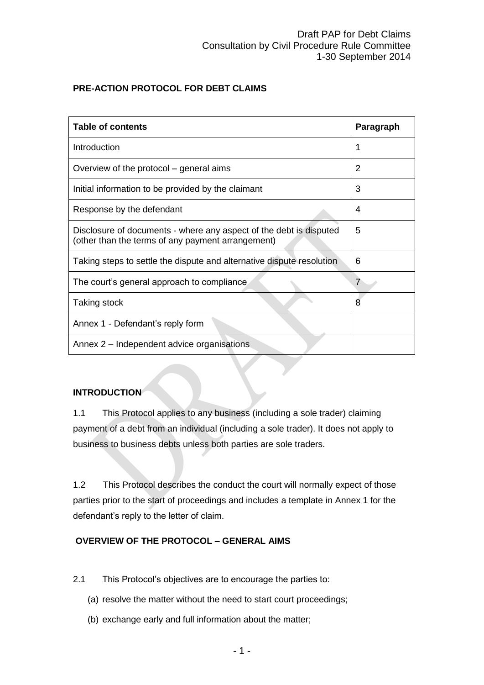# **PRE-ACTION PROTOCOL FOR DEBT CLAIMS**

| <b>Table of contents</b>                                                                                                | Paragraph |
|-------------------------------------------------------------------------------------------------------------------------|-----------|
| Introduction                                                                                                            | 1         |
| Overview of the protocol – general aims                                                                                 | 2         |
| Initial information to be provided by the claimant                                                                      | 3         |
| Response by the defendant                                                                                               | 4         |
| Disclosure of documents - where any aspect of the debt is disputed<br>(other than the terms of any payment arrangement) | 5         |
| Taking steps to settle the dispute and alternative dispute resolution                                                   | 6         |
| The court's general approach to compliance                                                                              | 7         |
| Taking stock                                                                                                            | 8         |
| Annex 1 - Defendant's reply form                                                                                        |           |
| Annex 2 – Independent advice organisations                                                                              |           |

## **INTRODUCTION**

1.1 This Protocol applies to any business (including a sole trader) claiming payment of a debt from an individual (including a sole trader). It does not apply to business to business debts unless both parties are sole traders.

1.2 This Protocol describes the conduct the court will normally expect of those parties prior to the start of proceedings and includes a template in Annex 1 for the defendant's reply to the letter of claim.

# **OVERVIEW OF THE PROTOCOL – GENERAL AIMS**

- 2.1 This Protocol's objectives are to encourage the parties to:
	- (a) resolve the matter without the need to start court proceedings;
	- (b) exchange early and full information about the matter;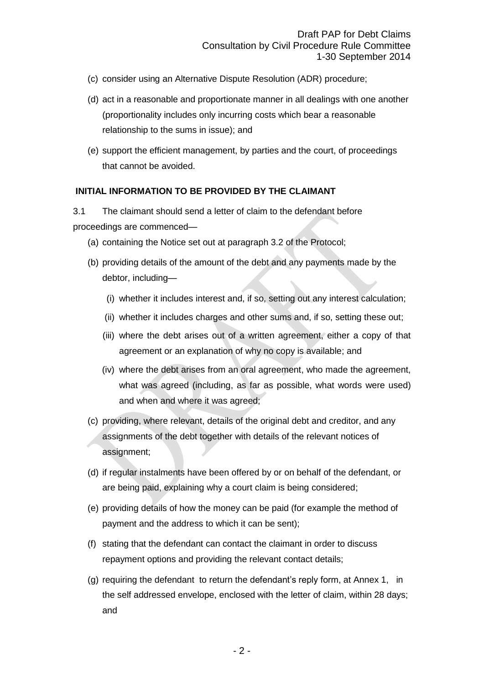- (c) consider using an Alternative Dispute Resolution (ADR) procedure;
- (d) act in a reasonable and proportionate manner in all dealings with one another (proportionality includes only incurring costs which bear a reasonable relationship to the sums in issue); and
- (e) support the efficient management, by parties and the court, of proceedings that cannot be avoided.

### **INITIAL INFORMATION TO BE PROVIDED BY THE CLAIMANT**

3.1 The claimant should send a letter of claim to the defendant before proceedings are commenced—

- (a) containing the Notice set out at paragraph 3.2 of the Protocol;
- (b) providing details of the amount of the debt and any payments made by the debtor, including—
	- (i) whether it includes interest and, if so, setting out any interest calculation;
	- (ii) whether it includes charges and other sums and, if so, setting these out;
	- (iii) where the debt arises out of a written agreement, either a copy of that agreement or an explanation of why no copy is available; and
	- (iv) where the debt arises from an oral agreement, who made the agreement, what was agreed (including, as far as possible, what words were used) and when and where it was agreed;
- (c) providing, where relevant, details of the original debt and creditor, and any assignments of the debt together with details of the relevant notices of assignment;
- (d) if regular instalments have been offered by or on behalf of the defendant, or are being paid, explaining why a court claim is being considered;
- (e) providing details of how the money can be paid (for example the method of payment and the address to which it can be sent);
- (f) stating that the defendant can contact the claimant in order to discuss repayment options and providing the relevant contact details;
- (g) requiring the defendant to return the defendant's reply form, at Annex 1, in the self addressed envelope, enclosed with the letter of claim, within 28 days; and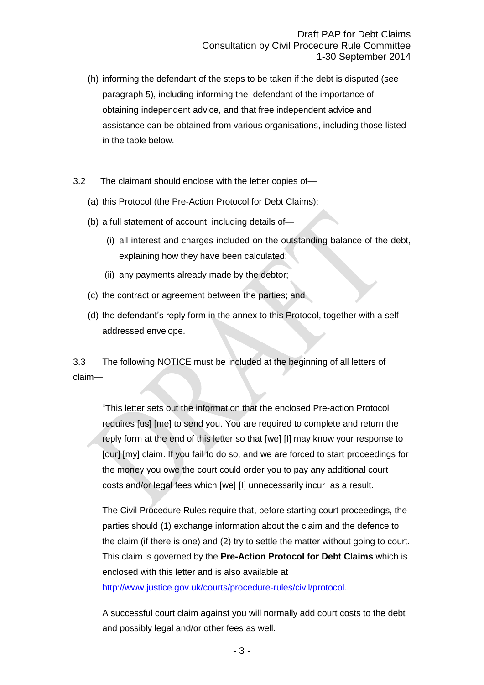- (h) informing the defendant of the steps to be taken if the debt is disputed (see paragraph 5), including informing the defendant of the importance of obtaining independent advice, and that free independent advice and assistance can be obtained from various organisations, including those listed in the table below.
- 3.2 The claimant should enclose with the letter copies of—
	- (a) this Protocol (the Pre-Action Protocol for Debt Claims);
	- (b) a full statement of account, including details of—
		- (i) all interest and charges included on the outstanding balance of the debt, explaining how they have been calculated;
		- (ii) any payments already made by the debtor;
	- (c) the contract or agreement between the parties; and
	- (d) the defendant's reply form in the annex to this Protocol, together with a selfaddressed envelope.

3.3 The following NOTICE must be included at the beginning of all letters of claim—

"This letter sets out the information that the enclosed Pre-action Protocol requires [us] [me] to send you. You are required to complete and return the reply form at the end of this letter so that [we] [I] may know your response to [our] [my] claim. If you fail to do so, and we are forced to start proceedings for the money you owe the court could order you to pay any additional court costs and/or legal fees which [we] [I] unnecessarily incur as a result.

The Civil Procedure Rules require that, before starting court proceedings, the parties should (1) exchange information about the claim and the defence to the claim (if there is one) and (2) try to settle the matter without going to court. This claim is governed by the **Pre-Action Protocol for Debt Claims** which is enclosed with this letter and is also available at

[http://www.justice.gov.uk/courts/procedure-rules/civil/protocol.](http://www.justice.gov.uk/courts/procedure-rules/civil/protocol)

A successful court claim against you will normally add court costs to the debt and possibly legal and/or other fees as well.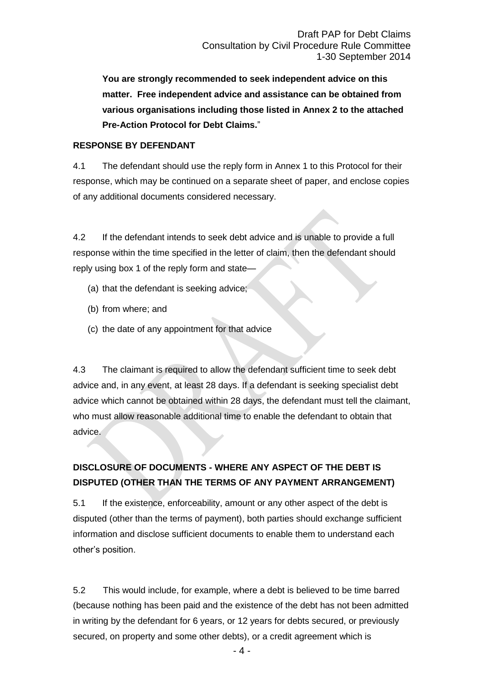**You are strongly recommended to seek independent advice on this matter. Free independent advice and assistance can be obtained from various organisations including those listed in Annex 2 to the attached Pre-Action Protocol for Debt Claims.**"

### **RESPONSE BY DEFENDANT**

4.1 The defendant should use the reply form in Annex 1 to this Protocol for their response, which may be continued on a separate sheet of paper, and enclose copies of any additional documents considered necessary.

4.2 If the defendant intends to seek debt advice and is unable to provide a full response within the time specified in the letter of claim, then the defendant should reply using box 1 of the reply form and state—

- (a) that the defendant is seeking advice;
- (b) from where; and
- (c) the date of any appointment for that advice

4.3 The claimant is required to allow the defendant sufficient time to seek debt advice and, in any event, at least 28 days. If a defendant is seeking specialist debt advice which cannot be obtained within 28 days, the defendant must tell the claimant, who must allow reasonable additional time to enable the defendant to obtain that advice.

# **DISCLOSURE OF DOCUMENTS - WHERE ANY ASPECT OF THE DEBT IS DISPUTED (OTHER THAN THE TERMS OF ANY PAYMENT ARRANGEMENT)**

5.1 If the existence, enforceability, amount or any other aspect of the debt is disputed (other than the terms of payment), both parties should exchange sufficient information and disclose sufficient documents to enable them to understand each other's position.

5.2 This would include, for example, where a debt is believed to be time barred (because nothing has been paid and the existence of the debt has not been admitted in writing by the defendant for 6 years, or 12 years for debts secured, or previously secured, on property and some other debts), or a credit agreement which is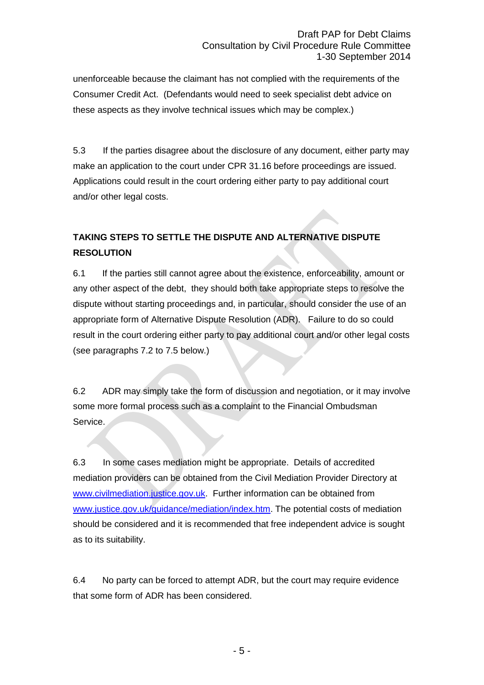unenforceable because the claimant has not complied with the requirements of the Consumer Credit Act. (Defendants would need to seek specialist debt advice on these aspects as they involve technical issues which may be complex.)

5.3 If the parties disagree about the disclosure of any document, either party may make an application to the court under CPR 31.16 before proceedings are issued. Applications could result in the court ordering either party to pay additional court and/or other legal costs.

# **TAKING STEPS TO SETTLE THE DISPUTE AND ALTERNATIVE DISPUTE RESOLUTION**

6.1 If the parties still cannot agree about the existence, enforceability, amount or any other aspect of the debt, they should both take appropriate steps to resolve the dispute without starting proceedings and, in particular, should consider the use of an appropriate form of Alternative Dispute Resolution (ADR). Failure to do so could result in the court ordering either party to pay additional court and/or other legal costs (see paragraphs 7.2 to 7.5 below.)

6.2 ADR may simply take the form of discussion and negotiation, or it may involve some more formal process such as a complaint to the Financial Ombudsman Service.

6.3 In some cases mediation might be appropriate. Details of accredited mediation providers can be obtained from the Civil Mediation Provider Directory at [www.civilmediation.justice.gov.uk.](http://www.civilmediation.justice.gov.uk/) Further information can be obtained from [www.justice.gov.uk/guidance/mediation/index.htm.](http://www.justice.gov.uk/guidance/mediation/index.htm) The potential costs of mediation should be considered and it is recommended that free independent advice is sought as to its suitability.

6.4 No party can be forced to attempt ADR, but the court may require evidence that some form of ADR has been considered.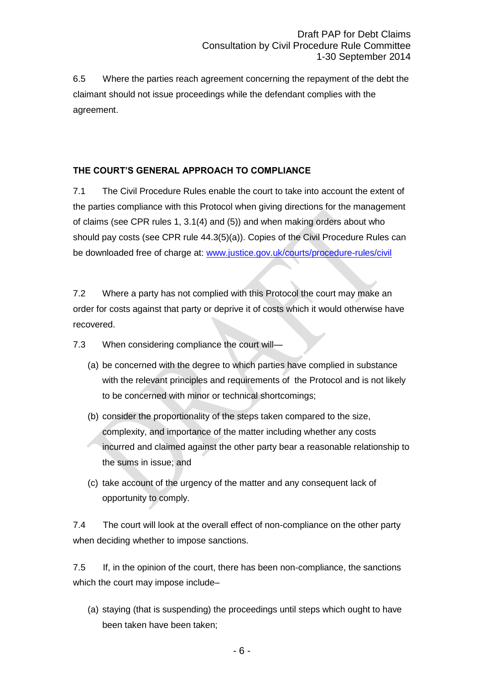6.5 Where the parties reach agreement concerning the repayment of the debt the claimant should not issue proceedings while the defendant complies with the agreement.

# **THE COURT'S GENERAL APPROACH TO COMPLIANCE**

7.1 The Civil Procedure Rules enable the court to take into account the extent of the parties compliance with this Protocol when giving directions for the management of claims (see CPR rules 1, 3.1(4) and (5)) and when making orders about who should pay costs (see CPR rule 44.3(5)(a)). Copies of the Civil Procedure Rules can be downloaded free of charge at: [www.justice.gov.uk/courts/procedure-rules/civil](file:///C:/Documents%20and%20Settings/Documents%20and%20Settings/lettt/Local%20Settings/My%20TopDrawer%20(LV)/Policy%20-%20Civil%20Procedure%20-%20Rule%20Committee%20-%20MeetingsPapers%202012(3)/www.justice.gov.uk/courts/procedure-rules/civil)

7.2 Where a party has not complied with this Protocol the court may make an order for costs against that party or deprive it of costs which it would otherwise have recovered.

7.3 When considering compliance the court will—

- (a) be concerned with the degree to which parties have complied in substance with the relevant principles and requirements of the Protocol and is not likely to be concerned with minor or technical shortcomings;
- (b) consider the proportionality of the steps taken compared to the size, complexity, and importance of the matter including whether any costs incurred and claimed against the other party bear a reasonable relationship to the sums in issue; and
- (c) take account of the urgency of the matter and any consequent lack of opportunity to comply.

7.4 The court will look at the overall effect of non-compliance on the other party when deciding whether to impose sanctions.

7.5 If, in the opinion of the court, there has been non-compliance, the sanctions which the court may impose include–

(a) staying (that is suspending) the proceedings until steps which ought to have been taken have been taken;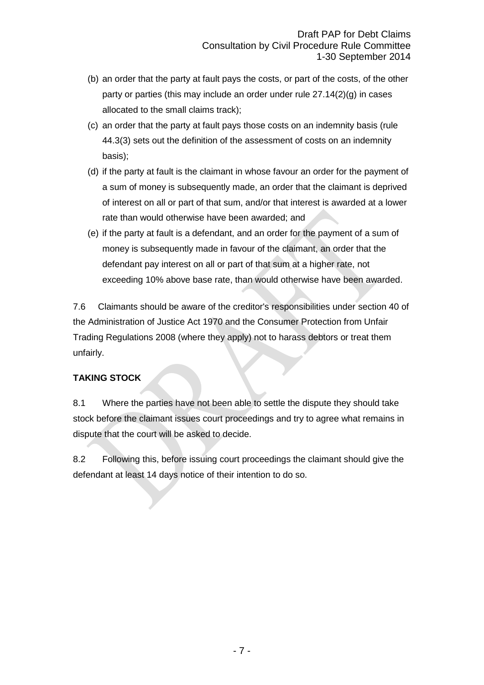- (b) an order that the party at fault pays the costs, or part of the costs, of the other party or parties (this may include an order under rule 27.14(2)(g) in cases allocated to the small claims track);
- (c) an order that the party at fault pays those costs on an indemnity basis (rule 44.3(3) sets out the definition of the assessment of costs on an indemnity basis);
- (d) if the party at fault is the claimant in whose favour an order for the payment of a sum of money is subsequently made, an order that the claimant is deprived of interest on all or part of that sum, and/or that interest is awarded at a lower rate than would otherwise have been awarded; and
- (e) if the party at fault is a defendant, and an order for the payment of a sum of money is subsequently made in favour of the claimant, an order that the defendant pay interest on all or part of that sum at a higher rate, not exceeding 10% above base rate, than would otherwise have been awarded.

7.6 Claimants should be aware of the creditor's responsibilities under section 40 of the Administration of Justice Act 1970 and the Consumer Protection from Unfair Trading Regulations 2008 (where they apply) not to harass debtors or treat them unfairly.

## **TAKING STOCK**

8.1 Where the parties have not been able to settle the dispute they should take stock before the claimant issues court proceedings and try to agree what remains in dispute that the court will be asked to decide.

8.2 Following this, before issuing court proceedings the claimant should give the defendant at least 14 days notice of their intention to do so.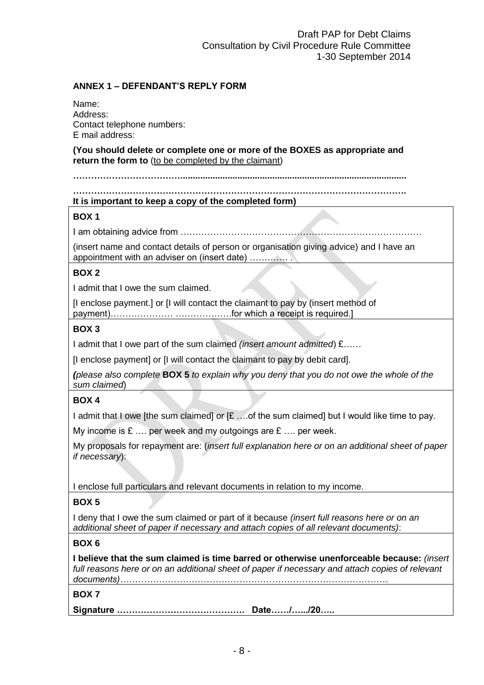## **ANNEX 1 – DEFENDANT'S REPLY FORM**

Name: Address: Contact telephone numbers: E mail address:

**(You should delete or complete one or more of the BOXES as appropriate and return the form to** (to be completed by the claimant)

#### **…………………………………………………………………………………………………. It is important to keep a copy of the completed form)**

### **BOX 1**

I am obtaining advice from ………………………………………………………………………

(insert name and contact details of person or organisation giving advice) and I have an appointment with an adviser on (insert date) …………. .

## **BOX 2**

I admit that I owe the sum claimed.

[I enclose payment.] or [I will contact the claimant to pay by (insert method of payment)………………… ……………….for which a receipt is required.]

## **BOX 3**

I admit that I owe part of the sum claimed *(insert amount admitted*) £……

[I enclose payment] or [I will contact the claimant to pay by debit card].

*(please also complete* **BOX 5** *to explain why you deny that you do not owe the whole of the sum claimed*)

## **BOX 4**

I admit that I owe [the sum claimed] or [£ ... of the sum claimed] but I would like time to pay.

My income is  $E$  .... per week and my outgoings are  $E$  .... per week.

My proposals for repayment are: (*insert full explanation here or on an additional sheet of paper if necessary*):

I enclose full particulars and relevant documents in relation to my income.

## **BOX 5**

I deny that I owe the sum claimed or part of it because *(insert full reasons here or on an additional sheet of paper if necessary and attach copies of all relevant documents)*:

## **BOX 6**

**I believe that the sum claimed is time barred or otherwise unenforceable because:** *(insert*  full reasons here or on an additional sheet of paper if necessary and attach copies of relevant *documents)………………………………………………………………………………*

## **BOX 7**

**Signature ……………………………………. Date……/….../20…..**